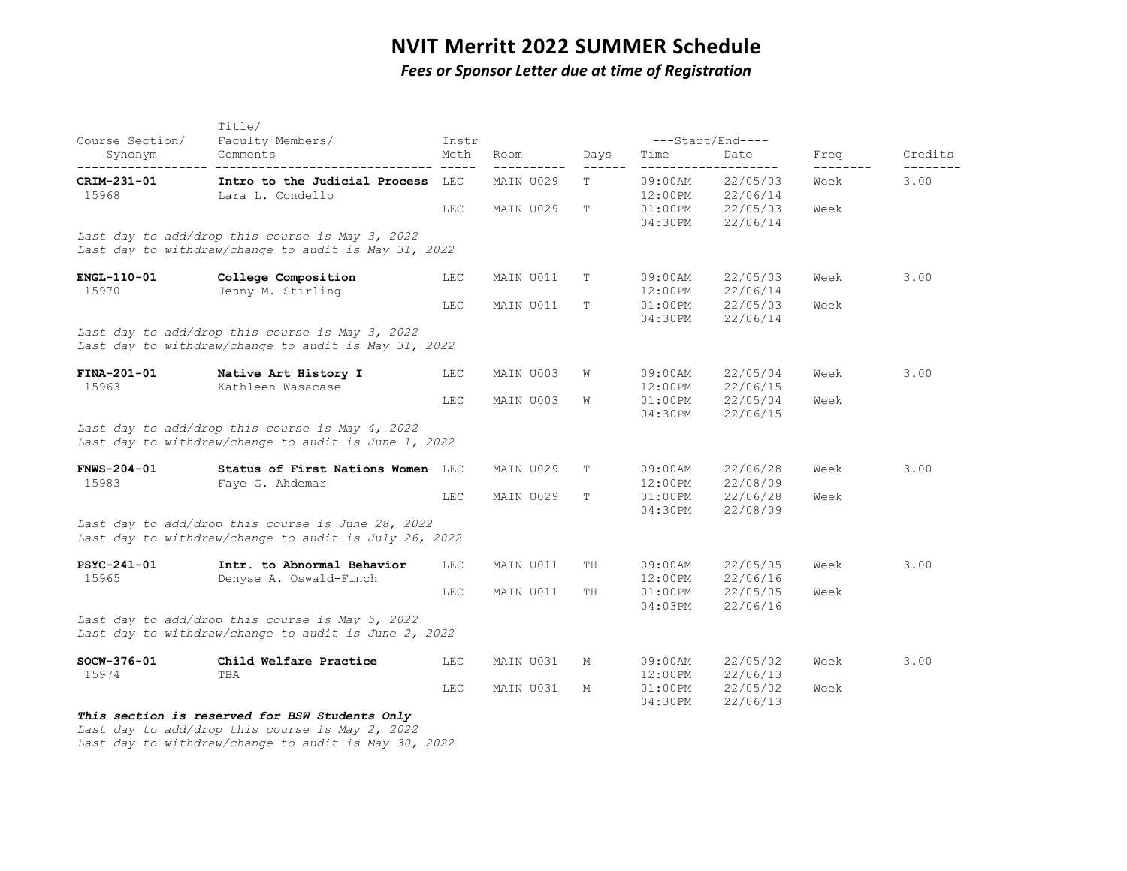## **NVIT Merritt 2022 SUMMER Schedule**

*Fees or Sponsor Letter due at time of Registration*

| Course Section/      | Title/<br>Faculty Members/<br>Comments                                                                     | Instr           |           |      | ---Start/End----      |                      |                  |         |
|----------------------|------------------------------------------------------------------------------------------------------------|-----------------|-----------|------|-----------------------|----------------------|------------------|---------|
| Synonym              |                                                                                                            | Meth<br>$- - -$ | Room      | Days | Time                  | Date<br>-----        | Freq<br>-------- | Credits |
| CRIM-231-01<br>15968 | Intro to the Judicial Process LEC<br>Lara L. Condello                                                      |                 | MAIN U029 | Т    | $09:00$ AM<br>12:00PM | 22/05/03<br>22/06/14 | Week             | 3.00    |
|                      |                                                                                                            | <b>LEC</b>      | MAIN U029 | T    | $01:00$ PM<br>04:30PM | 22/05/03<br>22/06/14 | Week             |         |
|                      | Last day to add/drop this course is May 3, 2022<br>Last day to withdraw/change to audit is May 31, 2022    |                 |           |      |                       |                      |                  |         |
| ENGL-110-01<br>15970 | College Composition<br>Jenny M. Stirling                                                                   | <b>LEC</b>      | MAIN U011 | т    | $09:00$ AM<br>12:00PM | 22/05/03<br>22/06/14 | Week             | 3.00    |
|                      |                                                                                                            | LEC             | MAIN U011 | Т    | $01:00$ PM<br>04:30PM | 22/05/03<br>22/06/14 | Week             |         |
|                      | Last day to add/drop this course is May 3, 2022<br>Last day to withdraw/change to audit is May 31, 2022    |                 |           |      |                       |                      |                  |         |
| FINA-201-01<br>15963 | Native Art History I<br>Kathleen Wasacase                                                                  | LEC             | MAIN U003 | W    | $09:00$ AM<br>12:00PM | 22/05/04<br>22/06/15 | Week             | 3.00    |
|                      |                                                                                                            | <b>LEC</b>      | MAIN U003 | W    | $01:00$ PM<br>04:30PM | 22/05/04<br>22/06/15 | Week             |         |
|                      | Last day to add/drop this course is May 4, 2022<br>Last day to withdraw/change to audit is June 1, 2022    |                 |           |      |                       |                      |                  |         |
| FNWS-204-01<br>15983 | Status of First Nations Women LEC<br>Faye G. Ahdemar                                                       |                 | MAIN U029 | T    | 09:00AM<br>12:00PM    | 22/06/28<br>22/08/09 | Week             | 3.00    |
|                      |                                                                                                            | <b>LEC</b>      | MAIN U029 | т    | $01:00$ PM<br>04:30PM | 22/06/28<br>22/08/09 | Week             |         |
|                      | Last day to add/drop this course is June 28, 2022<br>Last day to withdraw/change to audit is July 26, 2022 |                 |           |      |                       |                      |                  |         |
| PSYC-241-01<br>15965 | Intr. to Abnormal Behavior<br>Denyse A. Oswald-Finch                                                       | LEC             | MAIN U011 | TH   | $09:00$ AM<br>12:00PM | 22/05/05<br>22/06/16 | Week             | 3.00    |
|                      |                                                                                                            | LEC             | MAIN U011 | ΤH   | $01:00$ PM<br>04:03PM | 22/05/05<br>22/06/16 | Week             |         |
|                      | Last day to add/drop this course is May 5, 2022<br>Last day to withdraw/change to audit is June 2, 2022    |                 |           |      |                       |                      |                  |         |
| SOCW-376-01<br>15974 | Child Welfare Practice<br>TBA                                                                              | <b>LEC</b>      | MAIN U031 | M    | $09:00$ AM<br>12:00PM | 22/05/02<br>22/06/13 | Week             | 3.00    |
|                      |                                                                                                            | LEC             | MAIN U031 | М    | $01:00$ PM<br>04:30PM | 22/05/02<br>22/06/13 | Week             |         |
|                      | This section is reserved for BSW Students Only                                                             |                 |           |      |                       |                      |                  |         |

*Last day to add/drop this course is May 2, 2022* 

*Last day to withdraw/change to audit is May 30, 2022*